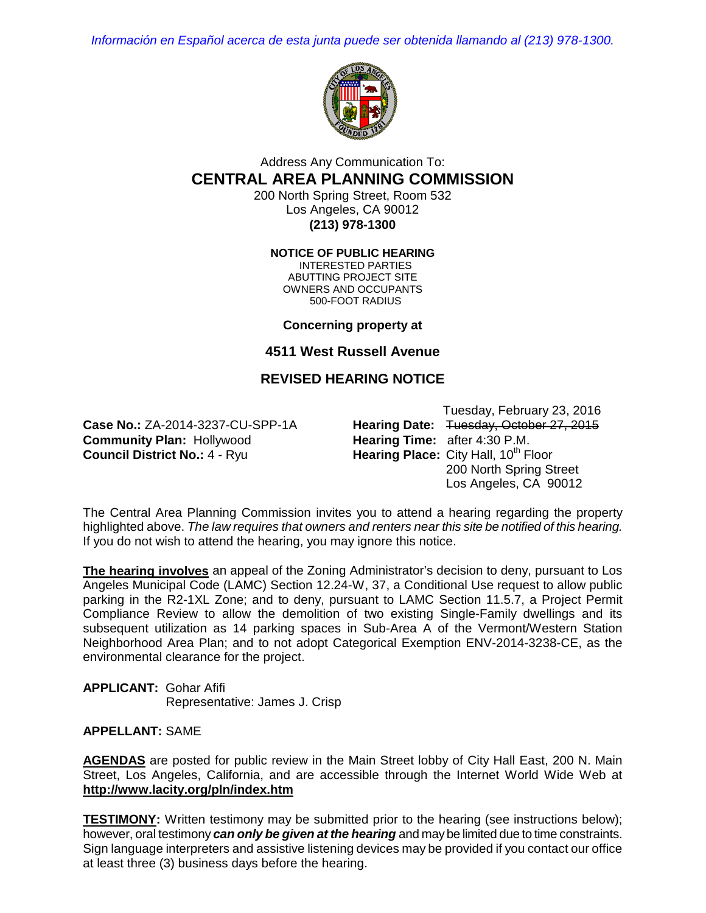*Información en Español acerca de esta junta puede ser obtenida llamando al (213) 978-1300.*



## Address Any Communication To: **CENTRAL AREA PLANNING COMMISSION**

200 North Spring Street, Room 532 Los Angeles, CA 90012 **(213) 978-1300**

**NOTICE OF PUBLIC HEARING**

INTERESTED PARTIES ABUTTING PROJECT SITE OWNERS AND OCCUPANTS 500-FOOT RADIUS

**Concerning property at**

**4511 West Russell Avenue**

# **REVISED HEARING NOTICE**

**Community Plan: Hollywood Council District No.: 4 - Ryu.** 

Tuesday, February 23, 2016 **Case No.:** ZA-2014-3237-CU-SPP-1A **Hearing Date:** Tuesday, October 27, 2015<br> **Community Plan:** Hollywood **Hearing Time:** after 4:30 P.M. **Hearing Place:** City Hall, 10<sup>th</sup> Floor 200 North Spring Street Los Angeles, CA 90012

The Central Area Planning Commission invites you to attend a hearing regarding the property highlighted above. *The law requires that owners and renters near this site be notified of this hearing.*  If you do not wish to attend the hearing, you may ignore this notice.

**The hearing involves** an appeal of the Zoning Administrator's decision to deny, pursuant to Los Angeles Municipal Code (LAMC) Section 12.24-W, 37, a Conditional Use request to allow public parking in the R2-1XL Zone; and to deny, pursuant to LAMC Section 11.5.7, a Project Permit Compliance Review to allow the demolition of two existing Single-Family dwellings and its subsequent utilization as 14 parking spaces in Sub-Area A of the Vermont/Western Station Neighborhood Area Plan; and to not adopt Categorical Exemption ENV-2014-3238-CE, as the environmental clearance for the project.

**APPLICANT:** Gohar Afifi Representative: James J. Crisp

### **APPELLANT:** SAME

**AGENDAS** are posted for public review in the Main Street lobby of City Hall East, 200 N. Main Street, Los Angeles, California, and are accessible through the Internet World Wide Web at **http://www.lacity.org/pln/index.htm**

**TESTIMONY:** Written testimony may be submitted prior to the hearing (see instructions below); however, oral testimony *can only be given at the hearing* and may be limited due to time constraints. Sign language interpreters and assistive listening devices may be provided if you contact our office at least three (3) business days before the hearing.